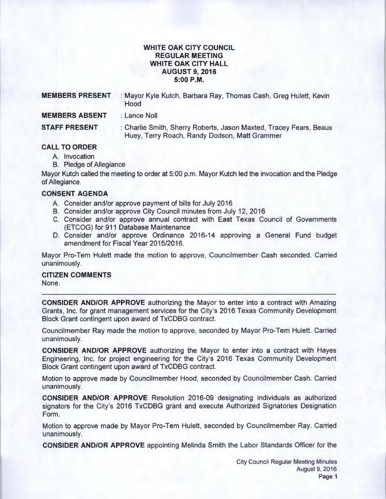### **WHITE OAK CITY COUNCIL REGULAR MEETING WHITE OAK CITY HALL AUGUST 9, 2016 5:00P.M.**

| <b>MEMBERS PRESENT</b> | : Mayor Kyle Kutch, Barbara Ray, Thomas Cash, Greg Hulett, Kevin<br>Hood                                            |
|------------------------|---------------------------------------------------------------------------------------------------------------------|
| <b>MEMBERS ABSENT</b>  | : Lance Noll                                                                                                        |
| <b>STAFF PRESENT</b>   | : Charlie Smith, Sherry Roberts, Jason Maxted, Tracey Fears, Beaux<br>Huey, Terry Roach, Randy Dodson, Matt Grammer |
| <b>CALL TO ORDER</b>   |                                                                                                                     |

## **CALL TO ORDER**

- A. Invocation
- B. Pledge of Allegiance

Mayor Kutch called the meeting to order at 5:00 p.m. Mayor Kutch led the invocation and the Pledge of Allegiance.

## **CONSENT AGENDA**

- A. Consider and/or approve payment of bills for July 2016
- B. Consider and/or approve City Council minutes from July 12, 2016
- C. Consider and/or approve annual contract with East Texas Council of Governments (ETCOG) for 911 Database Maintenance
- D. Consider and/or approve Ordinance 2016-14 approving a General Fund budget amendment for Fiscal Year 2015/2016.

Mayor Pro-Tem Hulett made the motion to approve, Councilmember Cash seconded. Carried unanimously.

# **CITIZEN COMMENTS**

None.

**CONSIDER AND/OR APPROVE** authorizing the Mayor to enter into a contract with Amazing Grants, Inc. for grant management services for the City's 2016 Texas Community Development Block Grant contingent upon award of TxCDBG contract.

Councilmember Ray made the motion to approve, seconded by Mayor Pro-Tem Hulett. Carried unanimously.

**CONSIDER AND/OR APPROVE** authorizing the Mayor to enter into a contract with Hayes Engineering, Inc. for project engineering for the City's 2016 Texas Community Development Block Grant contingent upon award of TxCDBG contract.

Motion to approve made by Councilmember Hood, seconded by Councilmember Cash. Carried unanimously.

**CONSIDER AND/OR APPROVE** Resolution 2016-09 designating individuals as authorized signators for the City's 2016 TxCDBG grant and execute Authorized Signatories Designation Form.

Motion to approve made by Mayor Pro-Tem Hulett, seconded by Councilmember Ray. Carried unanimously.

**CONSIDER AND/OR APPROVE** appointing Melinda Smith the Labor Standards Officer for the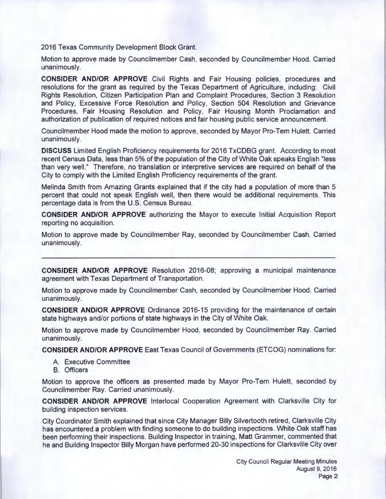2016 Texas Community Development Block Grant.

Motion to approve made by Councilmember Cash, seconded by Councilmember Hood. Carried unanimously.

**CONSIDER AND/OR APPROVE** Civil Rights and Fair Housing policies, procedures and resolutions for the grant as required by the Texas Department of Agriculture, including: Civil Rights Resolution, Citizen Participation Plan and Complaint Procedures, Section 3 Resolution and Policy, Excessive Force Resolution and Policy, Section 504 Resolution and Grievance Procedures, Fair Housing Resolution and Policy, Fair Housing Month Proclamation and authorization of publication of required notices and fair housing public service announcement.

Councilmember Hood made the motion to approve, seconded by Mayor Pro-Tem Hulett. Carried unanimously.

**DISCUSS** Limited English Proficiency requirements for 2016 TxCDBG grant. According to most recent Census Data, less than 5% of the population of the City of White Oak speaks English "less than very well." Therefore, no translation or interpretive services are required on behalf of the City to comply with the Limited English Proficiency requirements of the grant.

Melinda Smith from Amazing Grants explained that if the city had a population of more than 5 percent that could not speak English well, then there would be additional requirements. This percentage data is from the U.S. Census Bureau.

**CONSIDER AND/OR APPROVE** authorizing the Mayor to execute Initial Acquisition Report reporting no acquisition.

Motion to approve made by Councilmember Ray, seconded by Councilmember Cash. Carried unanimously.

**CONSIDER AND/OR APPROVE** Resolution 2016-08; approving a municipal maintenance agreement with Texas Department of Transportation.

Motion to approve made by Councilmember Cash, seconded by Councilmember Hood. Carried unanimously.

**CONSIDER AND/OR APPROVE** Ordinance 2016-15 providing for the maintenance of certain state highways and/or portions of state highways in the City of White Oak.

Motion to approve made by Councilmember Hood, seconded by Councilmember Ray. Carried unanimously.

**CONSIDER AND/OR APPROVE** East Texas Council of Governments (ETCOG) nominations for:

- A. Executive Committee
- B. Officers

Motion to approve the officers as presented made by Mayor Pro-Tem Hulett, seconded by Councilmember Ray. Carried unanimously.

**CONSIDER AND/OR APPROVE** lnterlocal Cooperation Agreement with Clarksville City for building inspection services.

City Coordinator Smith explained that since City Manager Billy Silvertooth retired , Clarksville City has encountered a problem with finding someone to do building inspections. White Oak staff has been performing their inspections. Building Inspector in training, Matt Grammer, commented that he and Building Inspector Billy Morgan have performed 20-30 inspections for Clarksville City over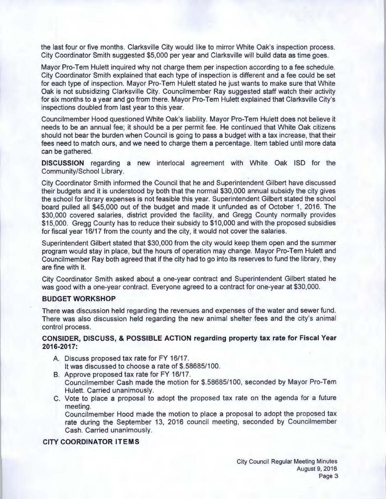the last four or five months. Clarksville City would like to mirror White Oak's inspection process. City Coordinator Smith suggested \$5,000 per year and Clarksville will build data as time goes.

Mayor Pro-Tem Hulett inquired why not charge them per inspection according to a fee schedule. City Coordinator Smith explained that each type of inspection is different and a fee could be set for each type of inspection. Mayor Pro-Tem Hulett stated he just wants to make sure that White Oak is not subsidizing Clarksville City. Councilmember Ray suggested staff watch their activity for six months to a year and go from there. Mayor Pro-Tem Hulett explained that Clarksville City's inspections doubled from last year to this year.

Councilmember Hood questioned White Oak's liability. Mayor Pro-Tem Hulett does not believe it needs to be an annual fee; it should be a per permit fee. He continued that White Oak citizens should not bear the burden when Council is going to pass a budget with a tax increase, that their fees need to match ours, and we need to charge them a percentage. Item tabled until more data can be gathered.

**DISCUSSION** regarding a new interlocal agreement with White Oak lSD for the Community/School Library.

City Coordinator Smith informed the Council that he and Superintendent Gilbert have discussed their budgets and it is understood by both that the normal \$30,000 annual subsidy the city gives the school for library expenses is not feasible this year. Superintendent Gilbert stated the school board pulled all \$45,000 out of the budget and made it unfunded as of October 1, 2016. The \$30,000 covered salaries, district provided the facility, and Gregg County normally provides \$15,000. Gregg County has to reduce their subsidy to \$10,000 and with the proposed subsidies for fiscal year 16/17 from the county and the city, it would not cover the salaries.

Superintendent Gilbert stated that \$30,000 from the city would keep them open and the summer program would stay in place, but the hours of operation may change. Mayor Pro-Tem Hulett and Councilmember Ray both agreed that if the city had to go into its reserves to fund the library, they are fine with it.

City Coordinator Smith asked about a one-year contract and Superintendent Gilbert stated he was good with a one-year contract. Everyone agreed to a contract for one-year at \$30,000.

#### **BUDGET WORKSHOP**

There was discussion held regarding the revenues and expenses of the water and sewer fund. There was also discussion held regarding the new animal shelter fees and the city's animal control process.

#### **CONSIDER, DISCUSS, & POSSIBLE ACTION regarding property tax rate for Fiscal Year 2016-2017:**

- A. Discuss proposed tax rate for FY 16/17. It was discussed to choose a rate of \$.58685/100.
- B. Approve proposed tax rate for FY 16/17. Councilmember Cash made the motion for \$.58685/100, seconded by Mayor Pro-Tem Hulett. Carried unanimously.
- C. Vote to place a proposal to adopt the proposed tax rate on the agenda for a future meeting.

Councilmember Hood made the motion to place a proposal to adopt the proposed tax rate during the September 13, 2016 council meeting, seconded by Councilmember Cash. Carried unanimously.

#### **CITY COORDINATOR ITEMS**